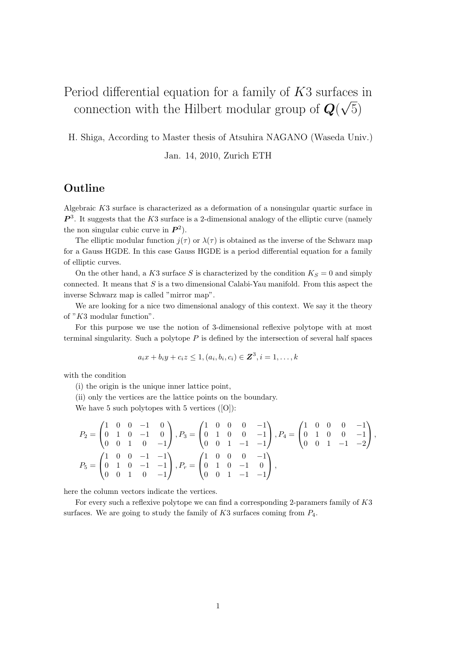#### Period differential equation for a family of *K*3 surfaces in connection with the Hilbert modular group of *Q*( *√* 5)

H. Shiga, According to Master thesis of Atsuhira NAGANO (Waseda Univ.)

Jan. 14, 2010, Zurich ETH

## **Outline**

Algebraic *K*3 surface is characterized as a deformation of a nonsingular quartic surface in  $P<sup>3</sup>$ . It suggests that the *K*3 surface is a 2-dimensional analogy of the elliptic curve (namely the non singular cubic curve in  $P^2$ ).

The elliptic modular function  $j(\tau)$  or  $\lambda(\tau)$  is obtained as the inverse of the Schwarz map for a Gauss HGDE. In this case Gauss HGDE is a period differential equation for a family of elliptic curves.

On the other hand, a  $K3$  surface S is characterized by the condition  $K_S = 0$  and simply connected. It means that *S* is a two dimensional Calabi-Yau manifold. From this aspect the inverse Schwarz map is called "mirror map".

We are looking for a nice two dimensional analogy of this context. We say it the theory of "*K*3 modular function".

For this purpose we use the notion of 3-dimensional reflexive polytope with at most terminal singularity. Such a polytope *P* is defined by the intersection of several half spaces

$$
a_i x + b_i y + c_i z \leq 1, (a_i, b_i, c_i) \in \mathbb{Z}^3, i = 1, ..., k
$$

with the condition

(i) the origin is the unique inner lattice point,

(ii) only the vertices are the lattice points on the boundary.

We have 5 such polytopes with 5 vertices ([O]):

$$
P_2 = \begin{pmatrix} 1 & 0 & 0 & -1 & 0 \\ 0 & 1 & 0 & -1 & 0 \\ 0 & 0 & 1 & 0 & -1 \end{pmatrix}, P_3 = \begin{pmatrix} 1 & 0 & 0 & 0 & -1 \\ 0 & 1 & 0 & 0 & -1 \\ 0 & 0 & 1 & -1 & -1 \end{pmatrix}, P_4 = \begin{pmatrix} 1 & 0 & 0 & 0 & -1 \\ 0 & 1 & 0 & 0 & -1 \\ 0 & 0 & 1 & -1 & -2 \end{pmatrix},
$$
  
\n
$$
P_5 = \begin{pmatrix} 1 & 0 & 0 & -1 & -1 \\ 0 & 1 & 0 & -1 & -1 \\ 0 & 0 & 1 & 0 & -1 \end{pmatrix}, P_r = \begin{pmatrix} 1 & 0 & 0 & 0 & -1 \\ 0 & 1 & 0 & -1 & 0 \\ 0 & 0 & 1 & -1 & -1 \end{pmatrix},
$$

here the column vectors indicate the vertices.

For every such a reflexive polytope we can find a corresponding 2-paramers family of *K*3 surfaces. We are going to study the family of *K*3 surfaces coming from *P*4.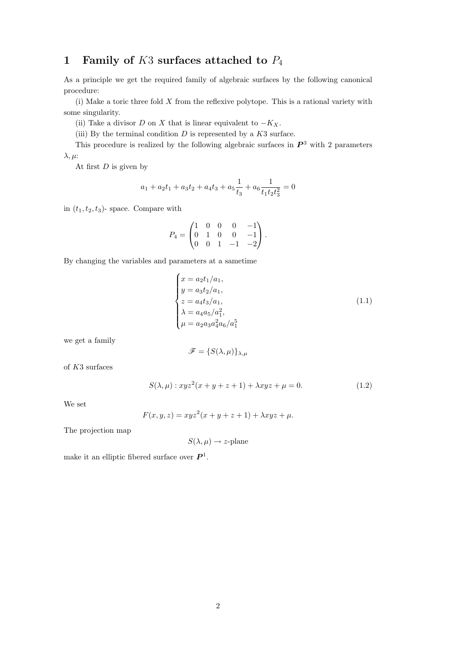# **1 Family of** *K*3 **surfaces attached to** *P*<sup>4</sup>

As a principle we get the required family of algebraic surfaces by the following canonical procedure:

(i) Make a toric three fold *X* from the reflexive polytope. This is a rational variety with some singularity.

- (ii) Take a divisor *D* on *X* that is linear equivalent to  $-K_X$ .
- (iii) By the terminal condition *D* is represented by a *K*3 surface.

This procedure is realized by the following algebraic surfaces in *P* <sup>3</sup> with 2 parameters *λ, µ*:

At first *D* is given by

$$
a_1 + a_2t_1 + a_3t_2 + a_4t_3 + a_5\frac{1}{t_3} + a_6\frac{1}{t_1t_2t_3^2} = 0
$$

in  $(t_1, t_2, t_3)$ - space. Compare with

$$
P_4=\begin{pmatrix} 1 & 0 & 0 & 0 & -1\\ 0 & 1 & 0 & 0 & -1\\ 0 & 0 & 1 & -1 & -2 \end{pmatrix}.
$$

By changing the variables and parameters at a sametime

$$
\begin{cases}\nx = a_2 t_1 / a_1, \\
y = a_3 t_2 / a_1, \\
z = a_4 t_3 / a_1, \\
\lambda = a_4 a_5 / a_1^2, \\
\mu = a_2 a_3 a_4^2 a_6 / a_1^5\n\end{cases}
$$
\n(1.1)

we get a family

$$
\mathscr{F} = \{ S(\lambda, \mu) \}_{\lambda, \mu}
$$

of *K*3 surfaces

$$
S(\lambda, \mu): xyz^{2}(x+y+z+1) + \lambda xyz + \mu = 0.
$$
\n(1.2)

We set

$$
F(x, y, z) = xyz^{2}(x + y + z + 1) + \lambda xyz + \mu.
$$

The projection map

$$
S(\lambda, \mu) \to z
$$
-plane

make it an elliptic fibered surface over  $P^1$ .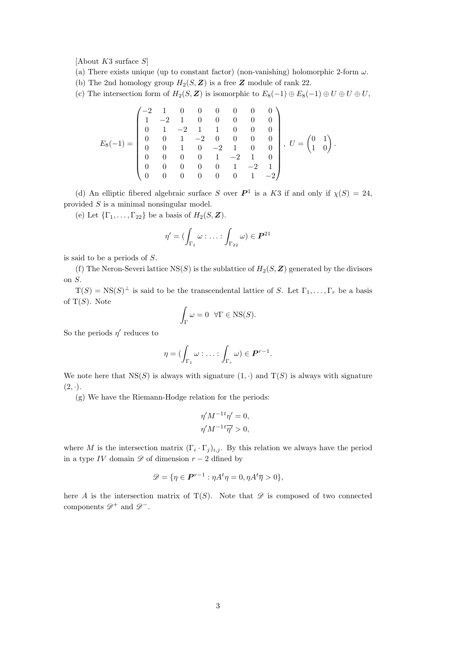[About *K*3 surface *S*]

- (a) There exists unique (up to constant factor) (non-vanishing) holomorphic 2-form *ω*.
- (b) The 2nd homology group  $H_2(S, Z)$  is a free  $Z$  module of rank 22.

(c) The intersection form of  $H_2(S, \mathbf{Z})$  is isomorphic to  $E_8(-1) \oplus E_8(-1) \oplus U \oplus U$ ,

$$
E_8(-1) = \begin{pmatrix} -2 & 1 & 0 & 0 & 0 & 0 & 0 & 0 \\ 1 & -2 & 1 & 0 & 0 & 0 & 0 & 0 \\ 0 & 1 & -2 & 1 & 1 & 0 & 0 & 0 \\ 0 & 0 & 1 & -2 & 0 & 0 & 0 & 0 \\ 0 & 0 & 1 & 0 & -2 & 1 & 0 & 0 \\ 0 & 0 & 0 & 0 & 1 & -2 & 1 & 0 \\ 0 & 0 & 0 & 0 & 0 & 1 & -2 & 1 \\ 0 & 0 & 0 & 0 & 0 & 0 & 1 & -2 \end{pmatrix}, \ U = \begin{pmatrix} 0 & 1 \\ 1 & 0 \end{pmatrix}.
$$

(d) An elliptic fibered algebraic surface *S* over  $P^1$  is a *K*3 if and only if  $\chi(S) = 24$ , provided *S* is a minimal nonsingular model.

(e) Let  ${\{\Gamma_1, \ldots, \Gamma_{22}\}}$  be a basis of  $H_2(S, \mathbf{Z})$ .

$$
\eta' = (\int_{\Gamma_1} \omega : \ldots : \int_{\Gamma_{22}} \omega) \in \boldsymbol{P}^{21}
$$

is said to be a periods of *S*.

(f) The Neron-Severi lattice  $NS(S)$  is the sublattice of  $H_2(S, \mathbf{Z})$  generated by the divisors on *S*.

 $T(S) = \text{NS}(S)^{\perp}$  is said to be the transcendental lattice of *S*. Let  $\Gamma_1, \ldots, \Gamma_r$  be a basis of T(*S*). Note

$$
\int_{\Gamma} \omega = 0 \quad \forall \Gamma \in \text{NS}(S).
$$

So the periods  $\eta'$  reduces to

$$
\eta = (\int_{\Gamma_1} \omega : \ldots : \int_{\Gamma_r} \omega) \in \mathbf{P}^{r-1}.
$$

We note here that  $NS(S)$  is always with signature  $(1, \cdot)$  and  $T(S)$  is always with signature  $(2, \cdot).$ 

(g) We have the Riemann-Hodge relation for the periods:

$$
\eta' M^{-1t} \eta' = 0,
$$
  

$$
\eta' M^{-1t} \overline{\eta'} > 0,
$$

where *M* is the intersection matrix  $(\Gamma_i \cdot \Gamma_j)_{i,j}$ . By this relation we always have the period in a type *IV* domain *D* of dimension *r −* 2 dfined by

$$
\mathscr{D} = \{ \eta \in \mathbf{P}^{r-1} : \eta A^t \eta = 0, \eta A^t \overline{\eta} > 0 \},
$$

here *A* is the intersection matrix of  $T(S)$ . Note that  $\mathscr D$  is composed of two connected components *D*<sup>+</sup> and *D−*.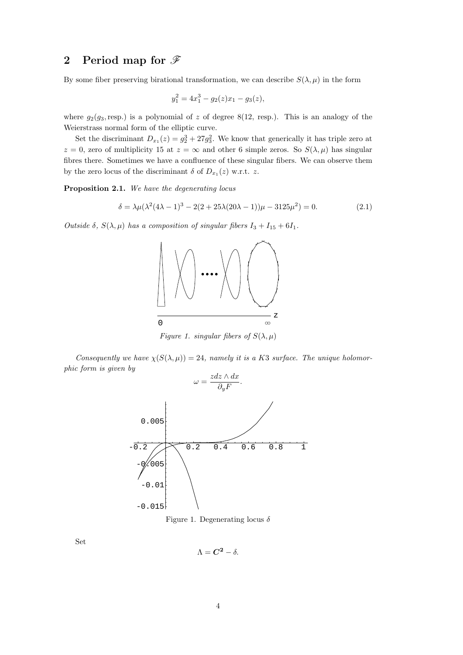## **2 Period map for** *F*

By some fiber preserving birational transformation, we can describe  $S(\lambda, \mu)$  in the form

$$
y_1^2 = 4x_1^3 - g_2(z)x_1 - g_3(z),
$$

where  $g_2(g_3, \text{resp.})$  is a polynomial of *z* of degree 8(12, resp.). This is an analogy of the Weierstrass normal form of the elliptic curve.

Set the discriminant  $D_{x_1}(z) = g_2^3 + 27g_3^2$ . We know that generically it has triple zero at  $z = 0$ , zero of multiplicity 15 at  $z = \infty$  and other 6 simple zeros. So  $S(\lambda, \mu)$  has singular fibres there. Sometimes we have a confluence of these singular fibers. We can observe them by the zero locus of the discriminant  $\delta$  of  $D_{x_1}(z)$  w.r.t.  $z$ .

**Proposition 2.1.** *We have the degenerating locus*

$$
\delta = \lambda \mu (\lambda^2 (4\lambda - 1)^3 - 2(2 + 25\lambda (20\lambda - 1))\mu - 3125\mu^2) = 0.
$$
 (2.1)

*Outside*  $\delta$ ,  $S(\lambda, \mu)$  *has a composition of singular fibers*  $I_3 + I_{15} + 6I_1$ *.* 



*Figure 1. singular fibers of*  $S(\lambda, \mu)$ 

*Consequently we have*  $\chi(S(\lambda, \mu)) = 24$ *, namely it is a K3 surface. The unique holomorphic form is given by*



Figure 1. Degenerating locus *δ*

Set

$$
\Lambda = \mathbf{C}^{\mathbf{2}} - \delta.
$$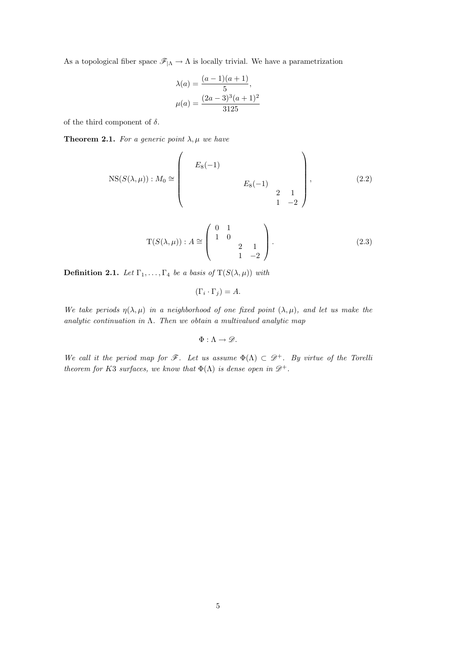As a topological fiber space  $\mathscr{F}_{|\Lambda} \to \Lambda$  is locally trivial. We have a parametrization

$$
\lambda(a) = \frac{(a-1)(a+1)}{5},
$$
  

$$
\mu(a) = \frac{(2a-3)^3(a+1)^2}{3125}
$$

of the third component of  $\delta$ .

**Theorem 2.1.** *For a generic point*  $\lambda, \mu$  *we have* 

$$
NS(S(\lambda, \mu)) : M_0 \cong \begin{pmatrix} E_8(-1) & & & \\ & E_8(-1) & & \\ & & & E_8(-1) & \\ & & & 2 & 1 \\ & & & 1 & -2 \end{pmatrix},
$$
 (2.2)

$$
T(S(\lambda, \mu)) : A \cong \begin{pmatrix} 0 & 1 & & \\ 1 & 0 & & \\ & & 2 & 1 \\ & & 1 & -2 \end{pmatrix}.
$$
 (2.3)

**Definition 2.1.** *Let*  $\Gamma_1, \ldots, \Gamma_4$  *be a basis of*  $T(S(\lambda, \mu))$  *with* 

$$
(\Gamma_i \cdot \Gamma_j) = A.
$$

*We take periods*  $\eta(\lambda, \mu)$  *in a neighborhood of one fixed point*  $(\lambda, \mu)$ *, and let us make the analytic continuation in* Λ*. Then we obtain a multivalued analytic map*

$$
\Phi:\Lambda\to\mathscr{D}.
$$

*We call it the period map for*  $\mathscr{F}$ *. Let us assume*  $\Phi(\Lambda) \subset \mathscr{D}^+$ *. By virtue of the Torelli theorem for K*3 *surfaces, we know that*  $\Phi(\Lambda)$  *is dense open in*  $\mathcal{D}^+$ *.*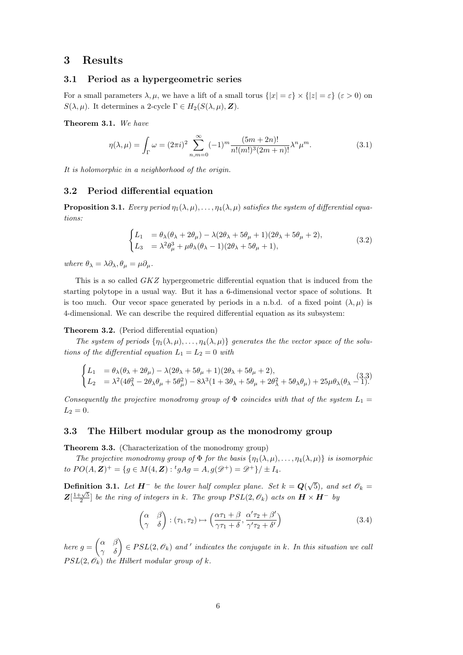## **3 Results**

#### **3.1 Period as a hypergeometric series**

For a small parameters  $\lambda, \mu$ , we have a lift of a small torus  $\{|x| = \varepsilon\} \times \{|z| = \varepsilon\}$  ( $\varepsilon > 0$ ) on *S*( $λ, μ$ ). It determines a 2-cycle  $Γ ∈ H_2(S(λ, μ), Z)$ .

**Theorem 3.1.** *We have*

$$
\eta(\lambda,\mu) = \int_{\Gamma} \omega = (2\pi i)^2 \sum_{n,m=0}^{\infty} (-1)^m \frac{(5m+2n)!}{n!(m!)^3 (2m+n)!} \lambda^n \mu^m.
$$
 (3.1)

*It is holomorphic in a neighborhood of the origin.*

#### **3.2 Period differential equation**

**Proposition 3.1.** *Every period*  $\eta_1(\lambda,\mu), \ldots, \eta_4(\lambda,\mu)$  *satisfies the system of differential equations:*

$$
\begin{cases}\nL_1 &= \theta_{\lambda}(\theta_{\lambda} + 2\theta_{\mu}) - \lambda(2\theta_{\lambda} + 5\theta_{\mu} + 1)(2\theta_{\lambda} + 5\theta_{\mu} + 2), \\
L_3 &= \lambda^2 \theta_{\mu}^3 + \mu \theta_{\lambda}(\theta_{\lambda} - 1)(2\theta_{\lambda} + 5\theta_{\mu} + 1),\n\end{cases}
$$
\n(3.2)

 $where \ \theta_{\lambda} = \lambda \partial_{\lambda}, \theta_{\mu} = \mu \partial_{\mu}.$ 

This is a so called *GKZ* hypergeometric differential equation that is induced from the starting polytope in a usual way. But it has a 6-dimensional vector space of solutions. It is too much. Our vecor space generated by periods in a n.b.d. of a fixed point  $(\lambda, \mu)$  is 4-dimensional. We can describe the required differential equation as its subsystem:

#### **Theorem 3.2.** (Period differential equation)

*The system of periods*  $\{\eta_1(\lambda,\mu), \ldots, \eta_4(\lambda,\mu)\}\$  *generates the the vector space of the solutions of the differential equation*  $L_1 = L_2 = 0$  *with* 

$$
\begin{cases}\nL_1 = \theta_\lambda(\theta_\lambda + 2\theta_\mu) - \lambda(2\theta_\lambda + 5\theta_\mu + 1)(2\theta_\lambda + 5\theta_\mu + 2),\\ \nL_2 = \lambda^2(4\theta_\lambda^2 - 2\theta_\lambda\theta_\mu + 5\theta_\mu^2) - 8\lambda^3(1 + 3\theta_\lambda + 5\theta_\mu + 2\theta_\lambda^2 + 5\theta_\lambda\theta_\mu) + 25\mu\theta_\lambda(\theta_\lambda - 1).\n\end{cases}
$$
\n(3.3)

*Consequently the projective monodromy group of*  $\Phi$  *coincides with that of the system*  $L_1 =$  $L_2 = 0$ .

#### **3.3 The Hilbert modular group as the monodromy group**

**Theorem 3.3.** (Characterization of the monodromy group)

*The projective monodromy group of*  $\Phi$  *for the basis*  $\{\eta_1(\lambda,\mu), \ldots, \eta_4(\lambda,\mu)\}\$ is isomorphic *to*  $PO(A, \mathbf{Z})^+ = \{g \in M(4, \mathbf{Z}) : {}^t g A g = A, g(\mathcal{D}^+) = \mathcal{D}^+\} / \pm I_4.$ 

**Definition 3.1.** *Let*  $H^-$  *be the lower half complex plane. Set*  $k = Q(\sqrt{5})$ *, and set*  $\mathscr{O}_k =$  $Z[\frac{1+\sqrt{5}}{2}]$  *be the ring of integers in k. The group*  $PSL(2, \mathscr{O}_k)$  *acts on*  $\mathbf{H} \times \mathbf{H}^-$  *by* 

$$
\begin{pmatrix} \alpha & \beta \\ \gamma & \delta \end{pmatrix} : (\tau_1, \tau_2) \mapsto \left( \frac{\alpha \tau_1 + \beta}{\gamma \tau_1 + \delta}, \frac{\alpha' \tau_2 + \beta'}{\gamma' \tau_2 + \delta'} \right)
$$
(3.4)

 $\rho_{h}$  *here*  $g = \begin{pmatrix} \alpha & \beta \\ \gamma & \delta \end{pmatrix} \in PSL(2, \mathscr{O}_k)$  and *'* indicates the conjugate in *k.* In this situation we call  $PSL(2, \mathscr{O}_k)$  *the Hilbert modular group of k.*